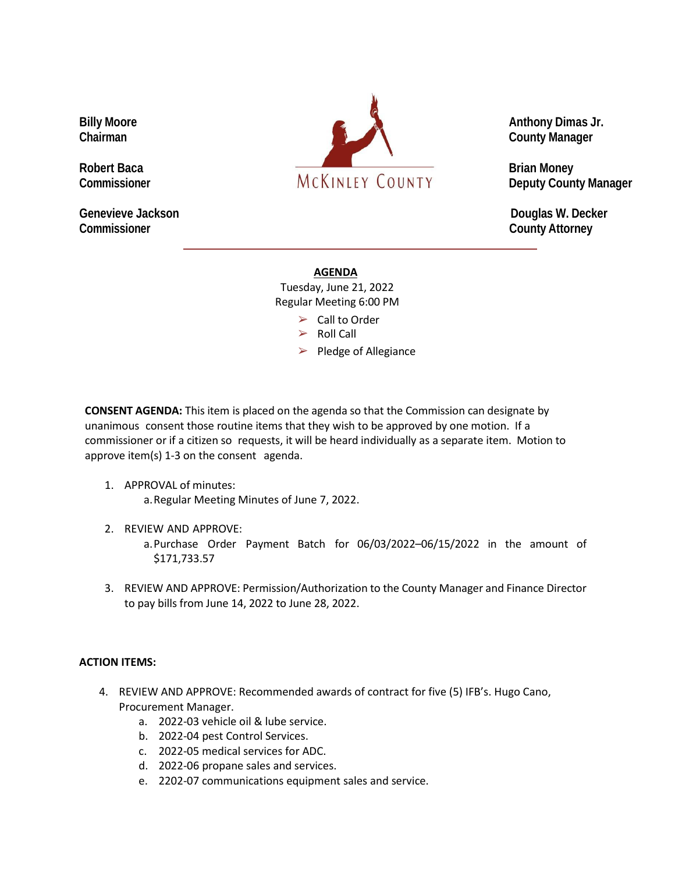**Genevieve Jackson Douglas W. Decker Commissioner County Attorney**



## **AGENDA**

Tuesday, June 21, 2022 Regular Meeting 6:00 PM

- $\triangleright$  Call to Order
- $\triangleright$  Roll Call

 $\blacktriangleright$  Pledge of Allegiance

**CONSENT AGENDA:** This item is placed on the agenda so that the Commission can designate by unanimous consent those routine items that they wish to be approved by one motion. If a commissioner or if a citizen so requests, it will be heard individually as a separate item. Motion to approve item(s) 1-3 on the consent agenda.

- 1. APPROVAL of minutes: a.Regular Meeting Minutes of June 7, 2022.
- 2. REVIEW AND APPROVE: a.Purchase Order Payment Batch for 06/03/2022–06/15/2022 in the amount of \$171,733.57
- 3. REVIEW AND APPROVE: Permission/Authorization to the County Manager and Finance Director to pay bills from June 14, 2022 to June 28, 2022.

## **ACTION ITEMS:**

- 4. REVIEW AND APPROVE: Recommended awards of contract for five (5) IFB's. Hugo Cano, Procurement Manager.
	- a. 2022-03 vehicle oil & lube service.
	- b. 2022-04 pest Control Services.
	- c. 2022-05 medical services for ADC.
	- d. 2022-06 propane sales and services.
	- e. 2202-07 communications equipment sales and service.